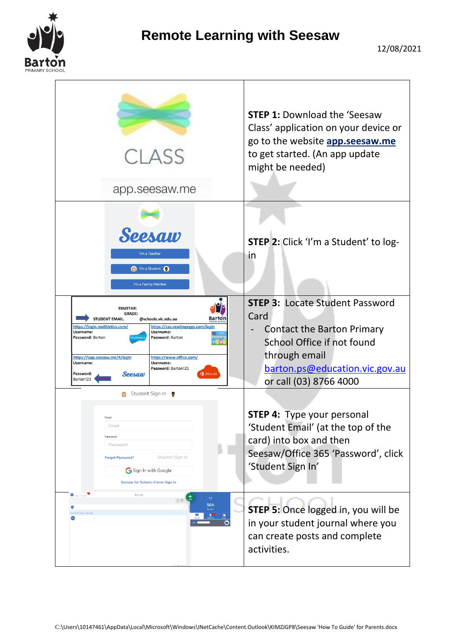

## **Remote Learning with Seesaw**

|                                                                                                                                                                                                               | <b>CLASS</b><br>app.seesaw.me                                                                                                                                                                                         | <b>STEP 1: Download the 'Seesaw</b><br>Class' application on your device or<br>go to the website app.seesaw.me<br>to get started. (An app update<br>might be needed)                           |
|---------------------------------------------------------------------------------------------------------------------------------------------------------------------------------------------------------------|-----------------------------------------------------------------------------------------------------------------------------------------------------------------------------------------------------------------------|------------------------------------------------------------------------------------------------------------------------------------------------------------------------------------------------|
| Seesaw<br>I'm a Teacher<br><b>a</b> I'm a Student<br>I'm a Family Member                                                                                                                                      | STEP 2: Click 'I'm a Student' to log-<br>in                                                                                                                                                                           |                                                                                                                                                                                                |
| <b>EDUSTAR:</b><br><b>GRADE:</b><br><b>STUDENT EMAIL:</b><br>https://login.mathletics.com/<br>Username:<br>Password: Barton<br>https://app.seesaw.me/#/login<br>Username:<br>Password:<br>Seesaw<br>Barton!21 | <b>Bartor</b><br>@schools.vic.edu.au<br>https://sso.readingeggs.com/login<br><b>Username:</b><br>Password: Barton<br>Readin<br>$e$ g $g$<br>https://www.office.com/<br>Username:<br>Password: Barton!21<br>Office 365 | <b>STEP 3: Locate Student Password</b><br>Card<br><b>Contact the Barton Primary</b><br>School Office if not found<br>through email<br>barton.ps@education.vic.gov.au<br>or call (03) 8766 4000 |
| Student Sign In ●<br>Email<br>Email<br>Password<br>Password<br>Student Sign In<br><b>Forgot Password?</b><br>Sign In with Google<br><b>Seesaw for Schools Clever Sign In</b>                                  |                                                                                                                                                                                                                       | <b>STEP 4: Type your personal</b><br>'Student Email' (at the top of the<br>card) into box and then<br>Seesaw/Office 365 'Password', click<br>'Student Sign In'                                 |
| Suber-Crasse<br>Ø<br>Journal<br>盂<br>56<br>目面<br>56A<br>$\bullet$<br>Walting for Teacher Approval<br>$\phi$                                                                                                   |                                                                                                                                                                                                                       | <b>STEP 5: Once logged in, you will be</b><br>in your student journal where you<br>can create posts and complete<br>activities.                                                                |